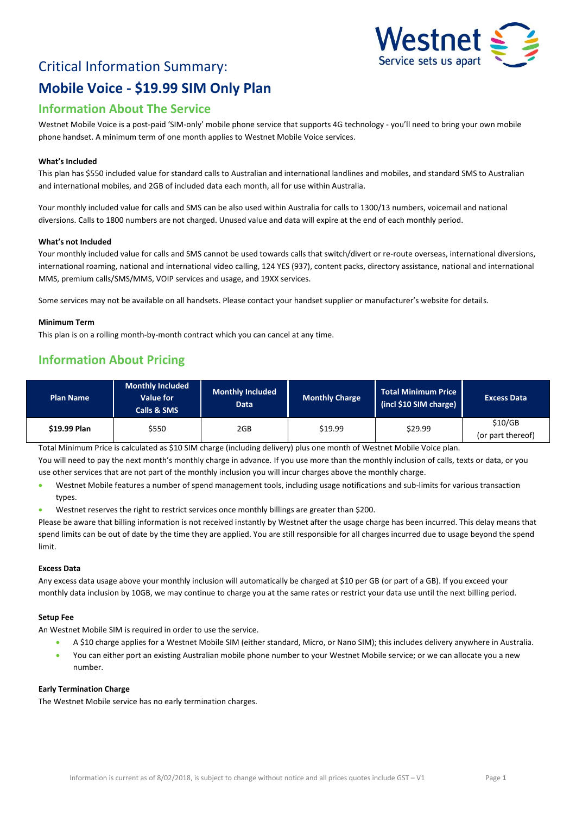

# Critical Information Summary: **Mobile Voice - \$19.99 SIM Only Plan**

# **Information About The Service**

Westnet Mobile Voice is a post-paid 'SIM-only' mobile phone service that supports 4G technology - you'll need to bring your own mobile phone handset. A minimum term of one month applies to Westnet Mobile Voice services.

#### **What's Included**

This plan has \$550 included value for standard calls to Australian and international landlines and mobiles, and standard SMS to Australian and international mobiles, and 2GB of included data each month, all for use within Australia.

Your monthly included value for calls and SMS can be also used within Australia for calls to 1300/13 numbers, voicemail and national diversions. Calls to 1800 numbers are not charged. Unused value and data will expire at the end of each monthly period.

#### **What's not Included**

Your monthly included value for calls and SMS cannot be used towards calls that switch/divert or re-route overseas, international diversions, international roaming, national and international video calling, 124 YES (937), content packs, directory assistance, national and international MMS, premium calls/SMS/MMS, VOIP services and usage, and 19XX services.

Some services may not be available on all handsets. Please contact your handset supplier or manufacturer's website for details.

#### **Minimum Term**

This plan is on a rolling month-by-month contract which you can cancel at any time.

## **Information About Pricing**

| <b>Plan Name</b> | <b>Monthly Included</b><br><b>Value for</b><br>Calls & SMS | <b>Monthly Included</b><br><b>Data</b> | <b>Monthly Charge</b> | Total Minimum Price<br>(incl \$10 SIM charge) | <b>Excess Data</b>           |
|------------------|------------------------------------------------------------|----------------------------------------|-----------------------|-----------------------------------------------|------------------------------|
| \$19.99 Plan     | \$550                                                      | 2GB                                    | \$19.99               | \$29.99                                       | \$10/GB<br>(or part thereof) |

Total Minimum Price is calculated as \$10 SIM charge (including delivery) plus one month of Westnet Mobile Voice plan. You will need to pay the next month's monthly charge in advance. If you use more than the monthly inclusion of calls, texts or data, or you

- use other services that are not part of the monthly inclusion you will incur charges above the monthly charge.
- Westnet Mobile features a number of spend management tools, including usage notifications and sub-limits for various transaction types.
- Westnet reserves the right to restrict services once monthly billings are greater than \$200.

Please be aware that billing information is not received instantly by Westnet after the usage charge has been incurred. This delay means that spend limits can be out of date by the time they are applied. You are still responsible for all charges incurred due to usage beyond the spend limit.

#### **Excess Data**

Any excess data usage above your monthly inclusion will automatically be charged at \$10 per GB (or part of a GB). If you exceed your monthly data inclusion by 10GB, we may continue to charge you at the same rates or restrict your data use until the next billing period.

#### **Setup Fee**

An Westnet Mobile SIM is required in order to use the service.

- A \$10 charge applies for a Westnet Mobile SIM (either standard, Micro, or Nano SIM); this includes delivery anywhere in Australia.
- You can either port an existing Australian mobile phone number to your Westnet Mobile service; or we can allocate you a new number.

#### **Early Termination Charge**

The Westnet Mobile service has no early termination charges.